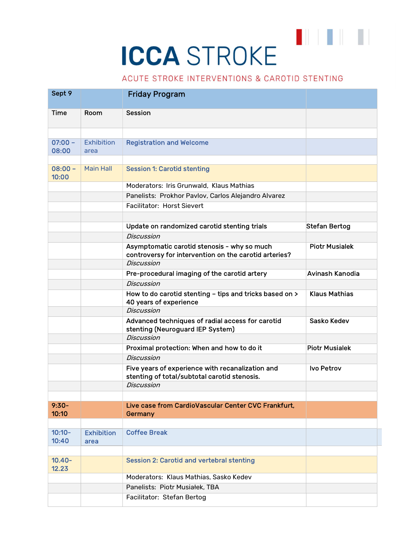### ACUTE STROKE INTERVENTIONS & CAROTID STENTING

| Sept 9             |                   | <b>Friday Program</b>                                                                            |                       |
|--------------------|-------------------|--------------------------------------------------------------------------------------------------|-----------------------|
| <b>Time</b>        | Room              | <b>Session</b>                                                                                   |                       |
|                    |                   |                                                                                                  |                       |
|                    |                   |                                                                                                  |                       |
| $07:00 -$          | Exhibition        | <b>Registration and Welcome</b>                                                                  |                       |
| 08:00              | area              |                                                                                                  |                       |
| $08:00 -$          | <b>Main Hall</b>  |                                                                                                  |                       |
| 10:00              |                   | <b>Session 1: Carotid stenting</b>                                                               |                       |
|                    |                   | Moderators: Iris Grunwald, Klaus Mathias                                                         |                       |
|                    |                   | Panelists: Prokhor Pavlov, Carlos Alejandro Alvarez                                              |                       |
|                    |                   | Facilitator: Horst Sievert                                                                       |                       |
|                    |                   |                                                                                                  |                       |
|                    |                   | Update on randomized carotid stenting trials                                                     | <b>Stefan Bertog</b>  |
|                    |                   | <b>Discussion</b>                                                                                |                       |
|                    |                   | Asymptomatic carotid stenosis - why so much                                                      | <b>Piotr Musialek</b> |
|                    |                   | controversy for intervention on the carotid arteries?<br><b>Discussion</b>                       |                       |
|                    |                   | Pre-procedural imaging of the carotid artery                                                     | Avinash Kanodia       |
|                    |                   | <b>Discussion</b>                                                                                |                       |
|                    |                   | How to do carotid stenting - tips and tricks based on >                                          | <b>Klaus Mathias</b>  |
|                    |                   | 40 years of experience                                                                           |                       |
|                    |                   | <b>Discussion</b>                                                                                |                       |
|                    |                   | Advanced techniques of radial access for carotid<br>stenting (Neuroguard IEP System)             | <b>Sasko Kedev</b>    |
|                    |                   | <b>Discussion</b>                                                                                |                       |
|                    |                   | Proximal protection: When and how to do it                                                       | <b>Piotr Musialek</b> |
|                    |                   | <b>Discussion</b>                                                                                |                       |
|                    |                   | Five years of experience with recanalization and<br>stenting of total/subtotal carotid stenosis. | <b>Ivo Petrov</b>     |
|                    |                   | <b>Discussion</b>                                                                                |                       |
|                    |                   |                                                                                                  |                       |
| $9:30-$<br>10:10   |                   | Live case from CardioVascular Center CVC Frankfurt,                                              |                       |
|                    |                   | Germany                                                                                          |                       |
| $10:10 -$          | <b>Exhibition</b> | <b>Coffee Break</b>                                                                              |                       |
| 10:40              | area              |                                                                                                  |                       |
|                    |                   |                                                                                                  |                       |
| $10.40 -$<br>12.23 |                   | <b>Session 2: Carotid and vertebral stenting</b>                                                 |                       |
|                    |                   | Moderators: Klaus Mathias, Sasko Kedev                                                           |                       |
|                    |                   | Panelists: Piotr Musiałek, TBA                                                                   |                       |
|                    |                   | Facilitator: Stefan Bertog                                                                       |                       |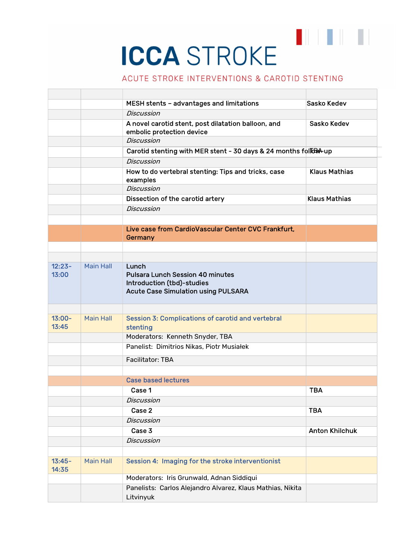#### ACUTE STROKE INTERVENTIONS & CAROTID STENTING

|                   |                  | MESH stents - advantages and limitations                                                                                     | <b>Sasko Kedev</b>    |
|-------------------|------------------|------------------------------------------------------------------------------------------------------------------------------|-----------------------|
|                   |                  | <b>Discussion</b>                                                                                                            |                       |
|                   |                  | A novel carotid stent, post dilatation balloon, and<br>embolic protection device                                             | Sasko Kedev           |
|                   |                  | <b>Discussion</b>                                                                                                            |                       |
|                   |                  | Carotid stenting with MER stent - 30 days & 24 months follow up                                                              |                       |
|                   |                  | <b>Discussion</b>                                                                                                            |                       |
|                   |                  | How to do vertebral stenting: Tips and tricks, case<br>examples                                                              | <b>Klaus Mathias</b>  |
|                   |                  | <b>Discussion</b>                                                                                                            |                       |
|                   |                  | Dissection of the carotid artery                                                                                             | <b>Klaus Mathias</b>  |
|                   |                  | <b>Discussion</b>                                                                                                            |                       |
|                   |                  |                                                                                                                              |                       |
|                   |                  | Live case from CardioVascular Center CVC Frankfurt.<br>Germany                                                               |                       |
|                   |                  |                                                                                                                              |                       |
|                   |                  |                                                                                                                              |                       |
| $12:23-$<br>13:00 | <b>Main Hall</b> | Lunch<br><b>Pulsara Lunch Session 40 minutes</b><br>Introduction (tbd)-studies<br><b>Acute Case Simulation using PULSARA</b> |                       |
|                   |                  |                                                                                                                              |                       |
| $13:00-$<br>13:45 | <b>Main Hall</b> | <b>Session 3: Complications of carotid and vertebral</b><br>stenting                                                         |                       |
|                   |                  | Moderators: Kenneth Snyder, TBA                                                                                              |                       |
|                   |                  | Panelist: Dimitrios Nikas, Piotr Musiałek                                                                                    |                       |
|                   |                  | Facilitator: TBA                                                                                                             |                       |
|                   |                  |                                                                                                                              |                       |
|                   |                  | <b>Case based lectures</b>                                                                                                   |                       |
|                   |                  | Case 1                                                                                                                       | TBA                   |
|                   |                  | <b>Discussion</b>                                                                                                            |                       |
|                   |                  | Case 2                                                                                                                       | <b>TBA</b>            |
|                   |                  | <b>Discussion</b>                                                                                                            |                       |
|                   |                  | Case 3                                                                                                                       | <b>Anton Khilchuk</b> |
|                   |                  | <b>Discussion</b>                                                                                                            |                       |
|                   |                  |                                                                                                                              |                       |
| $13:45-$<br>14:35 | <b>Main Hall</b> | Session 4: Imaging for the stroke interventionist                                                                            |                       |
|                   |                  | Moderators: Iris Grunwald, Adnan Siddiqui                                                                                    |                       |
|                   |                  | Panelists: Carlos Alejandro Alvarez, Klaus Mathias, Nikita<br>Litvinyuk                                                      |                       |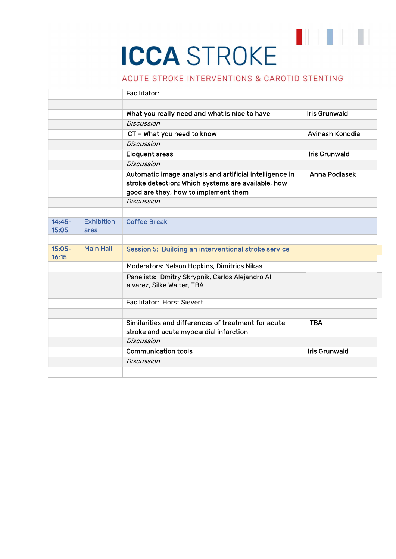### ACUTE STROKE INTERVENTIONS & CAROTID STENTING

|                    |                  | Facilitator:                                                                                                                                          |                      |
|--------------------|------------------|-------------------------------------------------------------------------------------------------------------------------------------------------------|----------------------|
|                    |                  |                                                                                                                                                       |                      |
|                    |                  | What you really need and what is nice to have                                                                                                         | <b>Iris Grunwald</b> |
|                    |                  | <b>Discussion</b>                                                                                                                                     |                      |
|                    |                  | CT - What you need to know                                                                                                                            | Avinash Konodia      |
|                    |                  | <b>Discussion</b>                                                                                                                                     |                      |
|                    |                  | <b>Eloquent areas</b>                                                                                                                                 | <b>Iris Grunwald</b> |
|                    |                  | <b>Discussion</b>                                                                                                                                     |                      |
|                    |                  | Automatic image analysis and artificial intelligence in<br>stroke detection: Which systems are available, how<br>good are they, how to implement them | <b>Anna Podlasek</b> |
|                    |                  | <b>Discussion</b>                                                                                                                                     |                      |
| $14:45-$           | Exhibition       | <b>Coffee Break</b>                                                                                                                                   |                      |
| 15:05              | area             |                                                                                                                                                       |                      |
| $15:05 -$<br>16:15 | <b>Main Hall</b> | Session 5: Building an interventional stroke service                                                                                                  |                      |
|                    |                  | Moderators: Nelson Hopkins, Dimitrios Nikas                                                                                                           |                      |
|                    |                  | Panelists: Dmitry Skrypnik, Carlos Alejandro Al<br>alvarez, Silke Walter, TBA                                                                         |                      |
|                    |                  | Facilitator: Horst Sievert                                                                                                                            |                      |
|                    |                  | Similarities and differences of treatment for acute<br>stroke and acute myocardial infarction                                                         | <b>TBA</b>           |
|                    |                  | <b>Discussion</b>                                                                                                                                     |                      |
|                    |                  |                                                                                                                                                       |                      |
|                    |                  | <b>Communication tools</b>                                                                                                                            | <b>Iris Grunwald</b> |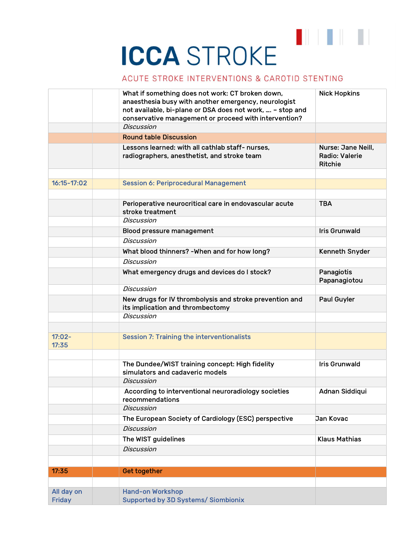#### ACUTE STROKE INTERVENTIONS & CAROTID STENTING

| All day on<br><b>Friday</b> | <b>Hand-on Workshop</b><br><b>Supported by 3D Systems/ Siombionix</b>                                                                                                                                                          |                                                               |
|-----------------------------|--------------------------------------------------------------------------------------------------------------------------------------------------------------------------------------------------------------------------------|---------------------------------------------------------------|
| 17:35                       | <b>Get together</b>                                                                                                                                                                                                            |                                                               |
|                             |                                                                                                                                                                                                                                |                                                               |
|                             | <b>Discussion</b>                                                                                                                                                                                                              |                                                               |
|                             | The WIST guidelines                                                                                                                                                                                                            | <b>Klaus Mathias</b>                                          |
|                             | <b>Discussion</b>                                                                                                                                                                                                              |                                                               |
|                             | The European Society of Cardiology (ESC) perspective                                                                                                                                                                           | <b>Jan Kovac</b>                                              |
|                             | <b>Discussion</b>                                                                                                                                                                                                              |                                                               |
|                             | According to interventional neuroradiology societies<br>recommendations                                                                                                                                                        | Adnan Siddiqui                                                |
|                             | Discussion                                                                                                                                                                                                                     |                                                               |
|                             | The Dundee/WIST training concept: High fidelity<br>simulators and cadaveric models                                                                                                                                             | <b>Iris Grunwald</b>                                          |
|                             |                                                                                                                                                                                                                                |                                                               |
| $17:02 -$<br>17:35          | <b>Session 7: Training the interventionalists</b>                                                                                                                                                                              |                                                               |
|                             |                                                                                                                                                                                                                                |                                                               |
|                             | its implication and thrombectomy<br><b>Discussion</b>                                                                                                                                                                          |                                                               |
|                             | New drugs for IV thrombolysis and stroke prevention and                                                                                                                                                                        | <b>Paul Guyler</b>                                            |
|                             | <b>Discussion</b>                                                                                                                                                                                                              | Papanagiotou                                                  |
|                             | What emergency drugs and devices do I stock?                                                                                                                                                                                   | Panagiotis                                                    |
|                             | What blood thinners? - When and for how long?<br><b>Discussion</b>                                                                                                                                                             | Kenneth Snyder                                                |
|                             |                                                                                                                                                                                                                                |                                                               |
|                             | <b>Blood pressure management</b><br><b>Discussion</b>                                                                                                                                                                          | <b>Iris Grunwald</b>                                          |
|                             | <b>Discussion</b>                                                                                                                                                                                                              |                                                               |
|                             | Perioperative neurocritical care in endovascular acute<br>stroke treatment                                                                                                                                                     | <b>TBA</b>                                                    |
| $16:15 - 17:02$             | <b>Session 6: Periprocedural Management</b>                                                                                                                                                                                    |                                                               |
|                             |                                                                                                                                                                                                                                |                                                               |
|                             | Lessons learned: with all cathlab staff- nurses.<br>radiographers, anesthetist, and stroke team                                                                                                                                | Nurse: Jane Neill,<br><b>Radio: Valerie</b><br><b>Ritchie</b> |
|                             | <b>Round table Discussion</b>                                                                                                                                                                                                  |                                                               |
|                             | <b>Discussion</b>                                                                                                                                                                                                              |                                                               |
|                             | What if something does not work: CT broken down,<br>anaesthesia busy with another emergency, neurologist<br>not available, bi-plane or DSA does not work,  - stop and<br>conservative management or proceed with intervention? | <b>Nick Hopkins</b>                                           |
|                             |                                                                                                                                                                                                                                |                                                               |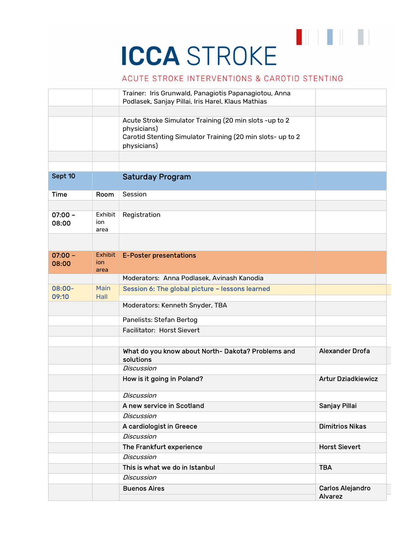### ACUTE STROKE INTERVENTIONS & CAROTID STENTING

|                    |                               | Trainer: Iris Grunwald, Panagiotis Papanagiotou, Anna<br>Podlasek, Sanjay Pillai, Iris Harel, Klaus Mathias                                        |                                    |
|--------------------|-------------------------------|----------------------------------------------------------------------------------------------------------------------------------------------------|------------------------------------|
|                    |                               | Acute Stroke Simulator Training (20 min slots -up to 2<br>physicians)<br>Carotid Stenting Simulator Training (20 min slots- up to 2<br>physicians) |                                    |
|                    |                               |                                                                                                                                                    |                                    |
| Sept 10            |                               | <b>Saturday Program</b>                                                                                                                            |                                    |
|                    |                               |                                                                                                                                                    |                                    |
| <b>Time</b>        | Room                          | Session                                                                                                                                            |                                    |
| $07:00 -$<br>08:00 | Exhibit<br>ion<br>area        | Registration                                                                                                                                       |                                    |
|                    |                               |                                                                                                                                                    |                                    |
| $07:00 -$<br>08:00 | <b>Exhibit</b><br>ion<br>area | <b>E-Poster presentations</b>                                                                                                                      |                                    |
|                    |                               | Moderators: Anna Podlasek, Avinash Kanodia                                                                                                         |                                    |
| 08:00-<br>09:10    | Main<br>Hall                  | Session 6: The global picture - lessons learned                                                                                                    |                                    |
|                    |                               | Moderators: Kenneth Snyder, TBA                                                                                                                    |                                    |
|                    |                               | Panelists: Stefan Bertog                                                                                                                           |                                    |
|                    |                               | Facilitator: Horst Sievert                                                                                                                         |                                    |
|                    |                               | What do you know about North- Dakota? Problems and<br>solutions                                                                                    | <b>Alexander Drofa</b>             |
|                    |                               | <b>Discussion</b>                                                                                                                                  |                                    |
|                    |                               | How is it going in Poland?                                                                                                                         | <b>Artur Dziadkiewicz</b>          |
|                    |                               | <b>Discussion</b>                                                                                                                                  |                                    |
|                    |                               | A new service in Scotland                                                                                                                          | Sanjay Pillai                      |
|                    |                               | <b>Discussion</b>                                                                                                                                  |                                    |
|                    |                               | A cardiologist in Greece                                                                                                                           | <b>Dimitrios Nikas</b>             |
|                    |                               | <b>Discussion</b>                                                                                                                                  |                                    |
|                    |                               | The Frankfurt experience                                                                                                                           | <b>Horst Sievert</b>               |
|                    |                               | <b>Discussion</b>                                                                                                                                  |                                    |
|                    |                               | This is what we do in Istanbul                                                                                                                     | <b>TBA</b>                         |
|                    |                               | <b>Discussion</b>                                                                                                                                  |                                    |
|                    |                               | <b>Buenos Aires</b>                                                                                                                                | Carlos Alejandro<br><b>Alvarez</b> |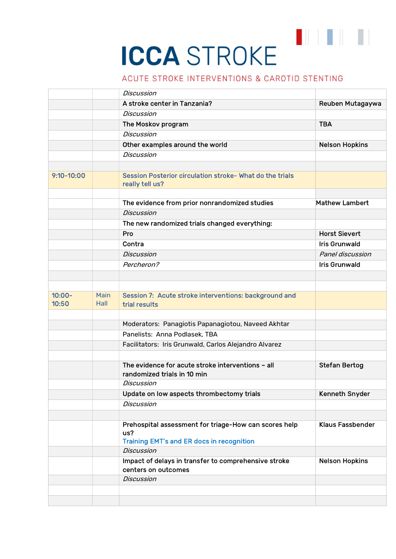### ACUTE STROKE INTERVENTIONS & CAROTID STENTING

|                    |                     | <b>Discussion</b>                                                                                                |                         |
|--------------------|---------------------|------------------------------------------------------------------------------------------------------------------|-------------------------|
|                    |                     | A stroke center in Tanzania?                                                                                     | Reuben Mutagaywa        |
|                    |                     | <b>Discussion</b>                                                                                                |                         |
|                    |                     | The Moskov program                                                                                               | <b>TBA</b>              |
|                    |                     | <b>Discussion</b>                                                                                                |                         |
|                    |                     | Other examples around the world                                                                                  | <b>Nelson Hopkins</b>   |
|                    |                     | <b>Discussion</b>                                                                                                |                         |
|                    |                     |                                                                                                                  |                         |
| 9:10-10:00         |                     | Session Posterior circulation stroke- What do the trials<br>really tell us?                                      |                         |
|                    |                     | The evidence from prior nonrandomized studies                                                                    | <b>Mathew Lambert</b>   |
|                    |                     | <b>Discussion</b>                                                                                                |                         |
|                    |                     | The new randomized trials changed everything:                                                                    |                         |
|                    |                     | Pro                                                                                                              | <b>Horst Sievert</b>    |
|                    |                     | Contra                                                                                                           | <b>Iris Grunwald</b>    |
|                    |                     | <b>Discussion</b>                                                                                                | Panel discussion        |
|                    |                     | Percheron?                                                                                                       | <b>Iris Grunwald</b>    |
|                    |                     |                                                                                                                  |                         |
|                    |                     |                                                                                                                  |                         |
| $10:00 -$<br>10:50 | Main<br><b>Hall</b> | Session 7: Acute stroke interventions: background and<br>trial results                                           |                         |
|                    |                     | Moderators: Panagiotis Papanagiotou, Naveed Akhtar                                                               |                         |
|                    |                     | Panelists: Anna Podlasek, TBA                                                                                    |                         |
|                    |                     | Facilitators: Iris Grunwald, Carlos Alejandro Alvarez                                                            |                         |
|                    |                     |                                                                                                                  |                         |
|                    |                     | The evidence for acute stroke interventions - all<br>randomized trials in 10 min                                 | <b>Stefan Bertog</b>    |
|                    |                     | Discussion                                                                                                       |                         |
|                    |                     | Update on low aspects thrombectomy trials                                                                        | Kenneth Snyder          |
|                    |                     | <b>Discussion</b>                                                                                                |                         |
|                    |                     |                                                                                                                  |                         |
|                    |                     | Prehospital assessment for triage-How can scores help<br>us?<br><b>Training EMT's and ER docs in recognition</b> | <b>Klaus Fassbender</b> |
|                    |                     | <b>Discussion</b>                                                                                                |                         |
|                    |                     | Impact of delays in transfer to comprehensive stroke<br>centers on outcomes                                      | <b>Nelson Hopkins</b>   |
|                    |                     | <b>Discussion</b>                                                                                                |                         |
|                    |                     |                                                                                                                  |                         |
|                    |                     |                                                                                                                  |                         |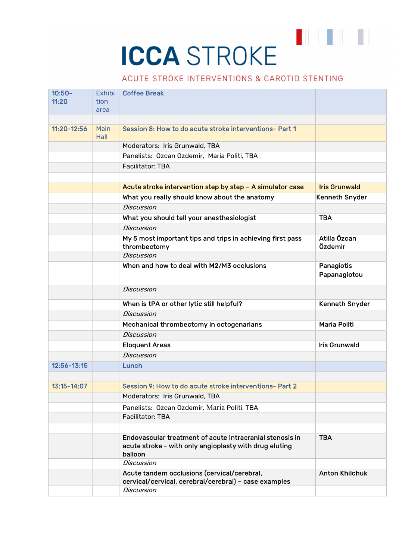#### ACUTE STROKE INTERVENTIONS & CAROTID STENTING

| $10:50-$<br>11:20 | Exhibi<br>tion<br>area | <b>Coffee Break</b>                                                                                                           |                            |
|-------------------|------------------------|-------------------------------------------------------------------------------------------------------------------------------|----------------------------|
|                   |                        |                                                                                                                               |                            |
| 11:20-12:56       | Main<br>Hall           | Session 8: How to do acute stroke interventions- Part 1                                                                       |                            |
|                   |                        | Moderators: Iris Grunwald, TBA                                                                                                |                            |
|                   |                        | Panelists: Ozcan Ozdemir, Maria Politi, TBA                                                                                   |                            |
|                   |                        | Facilitator: TBA                                                                                                              |                            |
|                   |                        |                                                                                                                               |                            |
|                   |                        | Acute stroke intervention step by step - A simulator case                                                                     | <b>Iris Grunwald</b>       |
|                   |                        | What you really should know about the anatomy                                                                                 | Kenneth Snyder             |
|                   |                        | <b>Discussion</b>                                                                                                             |                            |
|                   |                        | What you should tell your anesthesiologist                                                                                    | <b>TBA</b>                 |
|                   |                        | <b>Discussion</b>                                                                                                             |                            |
|                   |                        | My 5 most important tips and trips in achieving first pass<br>thrombectomy                                                    | Atilla Özcan<br>Özdemir    |
|                   |                        | <b>Discussion</b>                                                                                                             |                            |
|                   |                        | When and how to deal with M2/M3 occlusions                                                                                    | Panagiotis<br>Papanagiotou |
|                   |                        | <b>Discussion</b>                                                                                                             |                            |
|                   |                        | When is tPA or other lytic still helpful?                                                                                     | <b>Kenneth Snyder</b>      |
|                   |                        | <b>Discussion</b>                                                                                                             |                            |
|                   |                        | Mechanical thrombectomy in octogenarians                                                                                      | Maria Politi               |
|                   |                        | <b>Discussion</b>                                                                                                             |                            |
|                   |                        | <b>Eloquent Areas</b>                                                                                                         | <b>Iris Grunwald</b>       |
|                   |                        | <b>Discussion</b>                                                                                                             |                            |
| 12:56-13:15       |                        | Lunch                                                                                                                         |                            |
|                   |                        |                                                                                                                               |                            |
| 13:15-14:07       |                        | Session 9: How to do acute stroke interventions- Part 2                                                                       |                            |
|                   |                        | Moderators: Iris Grunwald, TBA                                                                                                |                            |
|                   |                        | Panelists: Ozcan Ozdemir, Maria Politi, TBA                                                                                   |                            |
|                   |                        | Facilitator: TBA                                                                                                              |                            |
|                   |                        |                                                                                                                               |                            |
|                   |                        | Endovascular treatment of acute intracranial stenosis in<br>acute stroke - with only angioplasty with drug eluting<br>balloon | <b>TBA</b>                 |
|                   |                        | <b>Discussion</b>                                                                                                             |                            |
|                   |                        | Acute tandem occlusions (cervical/cerebral,<br>cervical/cervical, cerebral/cerebral) - case examples                          | <b>Anton Khilchuk</b>      |
|                   |                        | <b>Discussion</b>                                                                                                             |                            |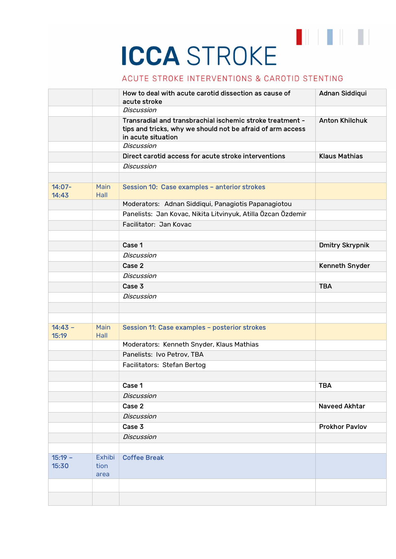#### ACUTE STROKE INTERVENTIONS & CAROTID STENTING

|                    |               | How to deal with acute carotid dissection as cause of<br>acute stroke                                                                         | Adnan Siddiqui         |
|--------------------|---------------|-----------------------------------------------------------------------------------------------------------------------------------------------|------------------------|
|                    |               | <b>Discussion</b>                                                                                                                             |                        |
|                    |               | Transradial and transbrachial ischemic stroke treatment -<br>tips and tricks, why we should not be afraid of arm access<br>in acute situation | <b>Anton Khilchuk</b>  |
|                    |               | <b>Discussion</b>                                                                                                                             |                        |
|                    |               | Direct carotid access for acute stroke interventions                                                                                          | <b>Klaus Mathias</b>   |
|                    |               | <b>Discussion</b>                                                                                                                             |                        |
|                    |               |                                                                                                                                               |                        |
| $14:07 -$<br>14:43 | Main<br>Hall  | Session 10: Case examples - anterior strokes                                                                                                  |                        |
|                    |               | Moderators: Adnan Siddiqui, Panagiotis Papanagiotou                                                                                           |                        |
|                    |               | Panelists: Jan Kovac, Nikita Litvinyuk, Atilla Özcan Özdemir                                                                                  |                        |
|                    |               | Facilitator: Jan Kovac                                                                                                                        |                        |
|                    |               |                                                                                                                                               |                        |
|                    |               | Case 1                                                                                                                                        | <b>Dmitry Skrypnik</b> |
|                    |               | <b>Discussion</b>                                                                                                                             |                        |
|                    |               | Case 2                                                                                                                                        | <b>Kenneth Snyder</b>  |
|                    |               | <b>Discussion</b>                                                                                                                             |                        |
|                    |               | Case 3                                                                                                                                        | <b>TBA</b>             |
|                    |               | <b>Discussion</b>                                                                                                                             |                        |
|                    |               |                                                                                                                                               |                        |
|                    |               |                                                                                                                                               |                        |
| $14:43 -$          | Main          | Session 11: Case examples - posterior strokes                                                                                                 |                        |
| 15:19              | Hall          |                                                                                                                                               |                        |
|                    |               | Moderators: Kenneth Snyder, Klaus Mathias                                                                                                     |                        |
|                    |               | Panelists: Ivo Petrov, TBA                                                                                                                    |                        |
|                    |               | Facilitators: Stefan Bertog                                                                                                                   |                        |
|                    |               |                                                                                                                                               |                        |
|                    |               | Case 1                                                                                                                                        | <b>TBA</b>             |
|                    |               | <b>Discussion</b>                                                                                                                             |                        |
|                    |               | Case 2                                                                                                                                        | <b>Naveed Akhtar</b>   |
|                    |               | <b>Discussion</b>                                                                                                                             |                        |
|                    |               | Case 3                                                                                                                                        | <b>Prokhor Pavlov</b>  |
|                    |               | <b>Discussion</b>                                                                                                                             |                        |
|                    |               |                                                                                                                                               |                        |
| $15:19 -$          | <b>Exhibi</b> | <b>Coffee Break</b>                                                                                                                           |                        |
| 15:30              | tion<br>area  |                                                                                                                                               |                        |
|                    |               |                                                                                                                                               |                        |
|                    |               |                                                                                                                                               |                        |
|                    |               |                                                                                                                                               |                        |